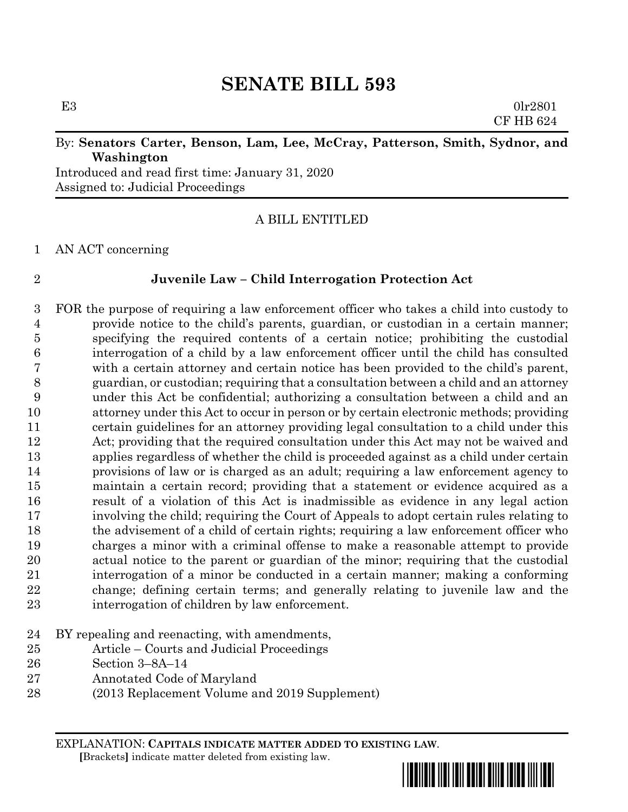# **SENATE BILL 593**

E3  $0 \text{lr} 2801$ CF HB 624

### By: **Senators Carter, Benson, Lam, Lee, McCray, Patterson, Smith, Sydnor, and Washington**

Introduced and read first time: January 31, 2020 Assigned to: Judicial Proceedings

## A BILL ENTITLED

AN ACT concerning

### **Juvenile Law – Child Interrogation Protection Act**

 FOR the purpose of requiring a law enforcement officer who takes a child into custody to provide notice to the child's parents, guardian, or custodian in a certain manner; specifying the required contents of a certain notice; prohibiting the custodial interrogation of a child by a law enforcement officer until the child has consulted with a certain attorney and certain notice has been provided to the child's parent, guardian, or custodian; requiring that a consultation between a child and an attorney under this Act be confidential; authorizing a consultation between a child and an attorney under this Act to occur in person or by certain electronic methods; providing certain guidelines for an attorney providing legal consultation to a child under this Act; providing that the required consultation under this Act may not be waived and applies regardless of whether the child is proceeded against as a child under certain provisions of law or is charged as an adult; requiring a law enforcement agency to maintain a certain record; providing that a statement or evidence acquired as a result of a violation of this Act is inadmissible as evidence in any legal action involving the child; requiring the Court of Appeals to adopt certain rules relating to the advisement of a child of certain rights; requiring a law enforcement officer who charges a minor with a criminal offense to make a reasonable attempt to provide actual notice to the parent or guardian of the minor; requiring that the custodial interrogation of a minor be conducted in a certain manner; making a conforming change; defining certain terms; and generally relating to juvenile law and the interrogation of children by law enforcement.

- BY repealing and reenacting, with amendments,
- Article Courts and Judicial Proceedings
- Section 3–8A–14
- Annotated Code of Maryland
- (2013 Replacement Volume and 2019 Supplement)

EXPLANATION: **CAPITALS INDICATE MATTER ADDED TO EXISTING LAW**.  **[**Brackets**]** indicate matter deleted from existing law.

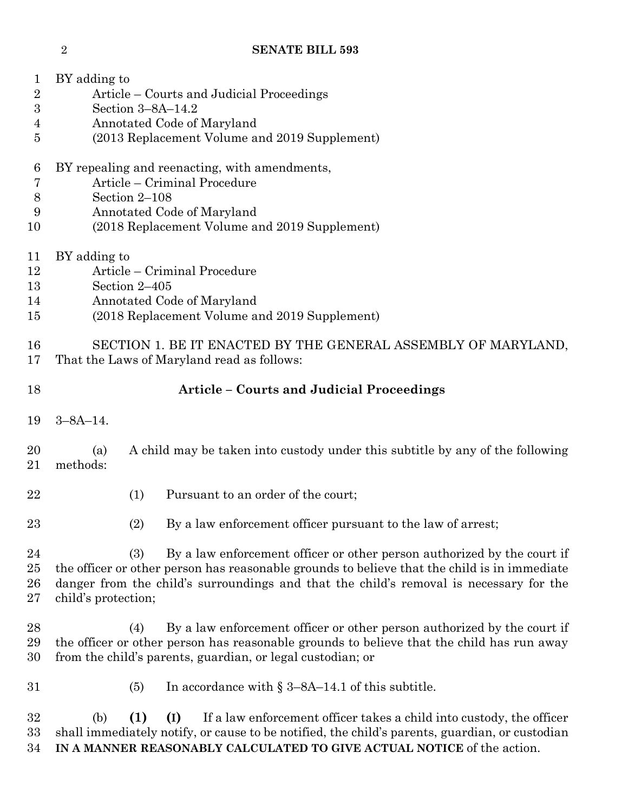| $\mathbf 1$<br>$\overline{2}$<br>$\boldsymbol{3}$<br>4<br>5 | BY adding to<br>Article – Courts and Judicial Proceedings<br>Section $3-8A-14.2$<br>Annotated Code of Maryland<br>(2013 Replacement Volume and 2019 Supplement)                                                                                                                                 |  |  |  |  |
|-------------------------------------------------------------|-------------------------------------------------------------------------------------------------------------------------------------------------------------------------------------------------------------------------------------------------------------------------------------------------|--|--|--|--|
| 6<br>7<br>$8\,$<br>9<br>10                                  | BY repealing and reenacting, with amendments,<br>Article – Criminal Procedure<br>Section 2-108<br>Annotated Code of Maryland<br>(2018 Replacement Volume and 2019 Supplement)                                                                                                                   |  |  |  |  |
| 11<br>12<br>13<br>14<br>15                                  | BY adding to<br>Article – Criminal Procedure<br>Section 2-405<br>Annotated Code of Maryland<br>(2018 Replacement Volume and 2019 Supplement)                                                                                                                                                    |  |  |  |  |
| 16<br>17                                                    | SECTION 1. BE IT ENACTED BY THE GENERAL ASSEMBLY OF MARYLAND,<br>That the Laws of Maryland read as follows:                                                                                                                                                                                     |  |  |  |  |
| 18                                                          | <b>Article - Courts and Judicial Proceedings</b>                                                                                                                                                                                                                                                |  |  |  |  |
| 19                                                          | $3 - 8A - 14$ .                                                                                                                                                                                                                                                                                 |  |  |  |  |
| 20<br>21                                                    | A child may be taken into custody under this subtitle by any of the following<br>(a)<br>methods:                                                                                                                                                                                                |  |  |  |  |
| 22                                                          | (1)<br>Pursuant to an order of the court;                                                                                                                                                                                                                                                       |  |  |  |  |
| 23                                                          | By a law enforcement officer pursuant to the law of arrest;<br>(2)                                                                                                                                                                                                                              |  |  |  |  |
| 24<br>25<br>26<br>27                                        | By a law enforcement officer or other person authorized by the court if<br>(3)<br>the officer or other person has reasonable grounds to believe that the child is in immediate<br>danger from the child's surroundings and that the child's removal is necessary for the<br>child's protection; |  |  |  |  |
| 28<br>29<br>30                                              | By a law enforcement officer or other person authorized by the court if<br>(4)<br>the officer or other person has reasonable grounds to believe that the child has run away<br>from the child's parents, guardian, or legal custodian; or                                                       |  |  |  |  |
| 31                                                          | In accordance with $\S 3-8A-14.1$ of this subtitle.<br>(5)                                                                                                                                                                                                                                      |  |  |  |  |
| 32<br>33                                                    | (1)<br>If a law enforcement officer takes a child into custody, the officer<br>(b)<br>(I)<br>shall immediately notify, or cause to be notified, the child's parents, guardian, or custodian                                                                                                     |  |  |  |  |

**IN A MANNER REASONABLY CALCULATED TO GIVE ACTUAL NOTICE** of the action.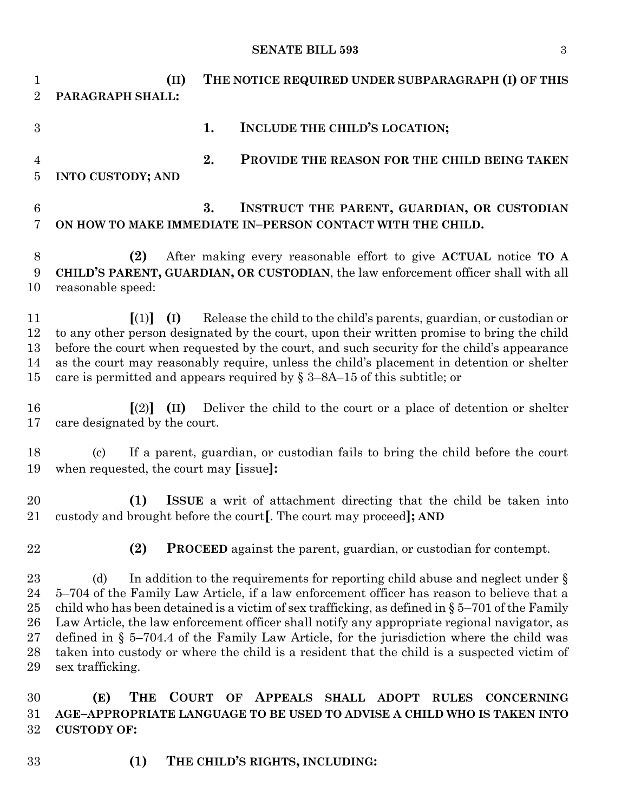### **SENATE BILL 593** 3

 **(II) THE NOTICE REQUIRED UNDER SUBPARAGRAPH (I) OF THIS PARAGRAPH SHALL: 1. INCLUDE THE CHILD'S LOCATION; 2. PROVIDE THE REASON FOR THE CHILD BEING TAKEN INTO CUSTODY; AND 3. INSTRUCT THE PARENT, GUARDIAN, OR CUSTODIAN ON HOW TO MAKE IMMEDIATE IN–PERSON CONTACT WITH THE CHILD. (2)** After making every reasonable effort to give **ACTUAL** notice **TO A CHILD'S PARENT, GUARDIAN, OR CUSTODIAN**, the law enforcement officer shall with all reasonable speed: **[**(1)**] (I)** Release the child to the child's parents, guardian, or custodian or to any other person designated by the court, upon their written promise to bring the child before the court when requested by the court, and such security for the child's appearance as the court may reasonably require, unless the child's placement in detention or shelter 15 care is permitted and appears required by  $\S 3-8A-15$  of this subtitle; or **[**(2)**] (II)** Deliver the child to the court or a place of detention or shelter care designated by the court. (c) If a parent, guardian, or custodian fails to bring the child before the court when requested, the court may **[**issue**]: (1) ISSUE** a writ of attachment directing that the child be taken into custody and brought before the court**[**. The court may proceed**]; AND (2) PROCEED** against the parent, guardian, or custodian for contempt. 23 (d) In addition to the requirements for reporting child abuse and neglect under § 5–704 of the Family Law Article, if a law enforcement officer has reason to believe that a 25 child who has been detained is a victim of sex trafficking, as defined in  $\S 5-701$  of the Family Law Article, the law enforcement officer shall notify any appropriate regional navigator, as defined in § 5–704.4 of the Family Law Article, for the jurisdiction where the child was taken into custody or where the child is a resident that the child is a suspected victim of sex trafficking. **(E) THE COURT OF APPEALS SHALL ADOPT RULES CONCERNING AGE–APPROPRIATE LANGUAGE TO BE USED TO ADVISE A CHILD WHO IS TAKEN INTO CUSTODY OF:**

**(1) THE CHILD'S RIGHTS, INCLUDING:**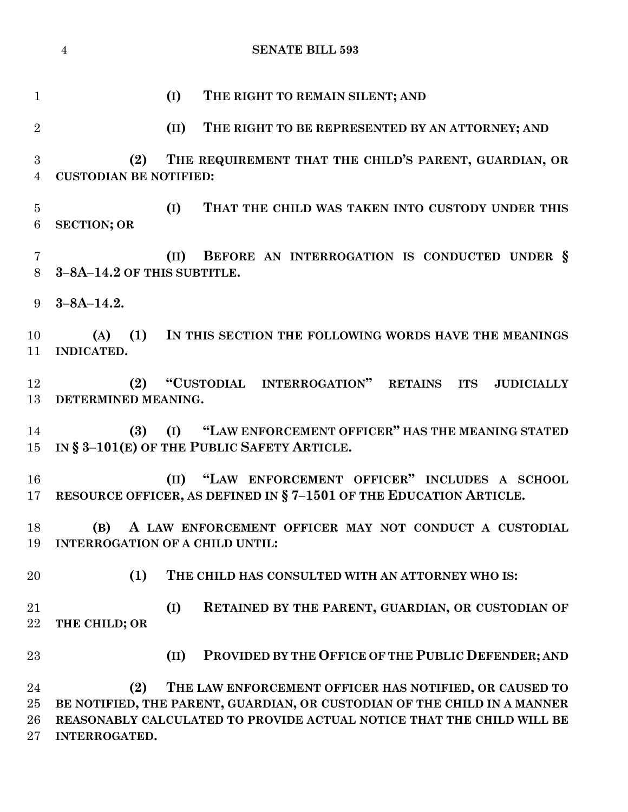|                              | $\overline{4}$<br><b>SENATE BILL 593</b>                                                                                                                                                                                                   |
|------------------------------|--------------------------------------------------------------------------------------------------------------------------------------------------------------------------------------------------------------------------------------------|
| $\mathbf{1}$                 | THE RIGHT TO REMAIN SILENT; AND<br>(I)                                                                                                                                                                                                     |
| $\overline{2}$               | (II)<br>THE RIGHT TO BE REPRESENTED BY AN ATTORNEY; AND                                                                                                                                                                                    |
| 3<br>$\overline{4}$          | THE REQUIREMENT THAT THE CHILD'S PARENT, GUARDIAN, OR<br>(2)<br><b>CUSTODIAN BE NOTIFIED:</b>                                                                                                                                              |
| $\overline{5}$<br>6          | (I)<br>THAT THE CHILD WAS TAKEN INTO CUSTODY UNDER THIS<br><b>SECTION; OR</b>                                                                                                                                                              |
| 7<br>8                       | BEFORE AN INTERROGATION IS CONDUCTED UNDER §<br>(II)<br>3-8A-14.2 OF THIS SUBTITLE.                                                                                                                                                        |
| 9                            | $3 - 8A - 14.2.$                                                                                                                                                                                                                           |
| 10<br>11                     | (1) IN THIS SECTION THE FOLLOWING WORDS HAVE THE MEANINGS<br>(A)<br>INDICATED.                                                                                                                                                             |
| 12<br>13                     | "CUSTODIAL INTERROGATION" RETAINS<br>(2)<br><b>ITS</b><br><b>JUDICIALLY</b><br>DETERMINED MEANING.                                                                                                                                         |
| 14<br>$15\,$                 | (I) "LAW ENFORCEMENT OFFICER" HAS THE MEANING STATED<br>(3)<br>IN § 3-101(E) OF THE PUBLIC SAFETY ARTICLE.                                                                                                                                 |
| 16                           | (II) "LAW ENFORCEMENT OFFICER" INCLUDES A SCHOOL<br>17 RESOURCE OFFICER, AS DEFINED IN § 7-1501 OF THE EDUCATION ARTICLE.                                                                                                                  |
| 18<br>19                     | A LAW ENFORCEMENT OFFICER MAY NOT CONDUCT A CUSTODIAL<br>(B)<br><b>INTERROGATION OF A CHILD UNTIL:</b>                                                                                                                                     |
| 20                           | (1)<br>THE CHILD HAS CONSULTED WITH AN ATTORNEY WHO IS:                                                                                                                                                                                    |
| 21<br>22                     | (I)<br>RETAINED BY THE PARENT, GUARDIAN, OR CUSTODIAN OF<br>THE CHILD; OR                                                                                                                                                                  |
| 23                           | PROVIDED BY THE OFFICE OF THE PUBLIC DEFENDER; AND<br>(II)                                                                                                                                                                                 |
| 24<br>$25\,$<br>26<br>$27\,$ | (2)<br>THE LAW ENFORCEMENT OFFICER HAS NOTIFIED, OR CAUSED TO<br>BE NOTIFIED, THE PARENT, GUARDIAN, OR CUSTODIAN OF THE CHILD IN A MANNER<br>REASONABLY CALCULATED TO PROVIDE ACTUAL NOTICE THAT THE CHILD WILL BE<br><b>INTERROGATED.</b> |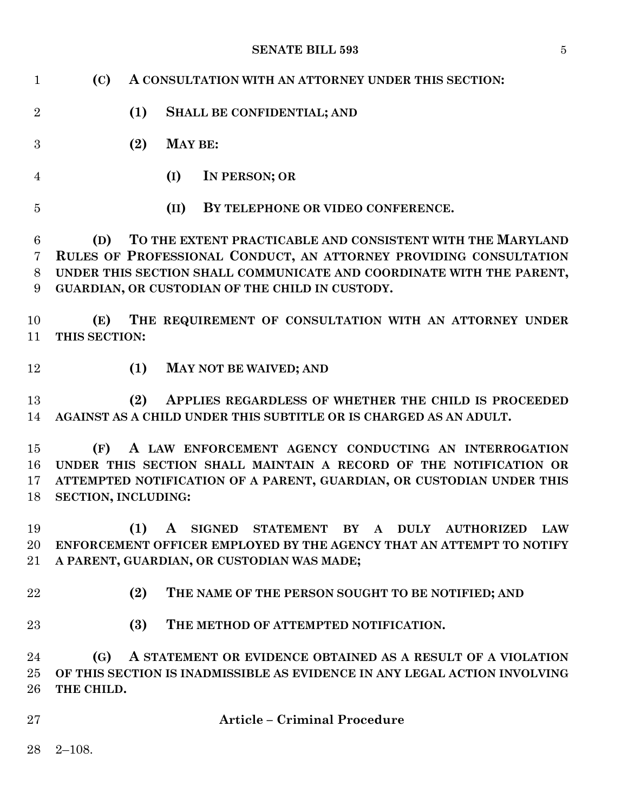### **SENATE BILL 593** 5

| $\mathbf{1}$         | (C)                        |                                                                                                                                                                                                                                                            | A CONSULTATION WITH AN ATTORNEY UNDER THIS SECTION:                                                                                                                                                |  |  |  |
|----------------------|----------------------------|------------------------------------------------------------------------------------------------------------------------------------------------------------------------------------------------------------------------------------------------------------|----------------------------------------------------------------------------------------------------------------------------------------------------------------------------------------------------|--|--|--|
| $\overline{2}$       |                            | (1)                                                                                                                                                                                                                                                        | <b>SHALL BE CONFIDENTIAL; AND</b>                                                                                                                                                                  |  |  |  |
| 3                    |                            | (2)                                                                                                                                                                                                                                                        | <b>MAY BE:</b>                                                                                                                                                                                     |  |  |  |
| 4                    |                            |                                                                                                                                                                                                                                                            | IN PERSON; OR<br>(I)                                                                                                                                                                               |  |  |  |
| $\overline{5}$       |                            |                                                                                                                                                                                                                                                            | BY TELEPHONE OR VIDEO CONFERENCE.<br>(II)                                                                                                                                                          |  |  |  |
| 6<br>7<br>8<br>9     | (D)                        | TO THE EXTENT PRACTICABLE AND CONSISTENT WITH THE MARYLAND<br>RULES OF PROFESSIONAL CONDUCT, AN ATTORNEY PROVIDING CONSULTATION<br>UNDER THIS SECTION SHALL COMMUNICATE AND COORDINATE WITH THE PARENT,<br>GUARDIAN, OR CUSTODIAN OF THE CHILD IN CUSTODY. |                                                                                                                                                                                                    |  |  |  |
| 10<br>11             | (E)<br>THIS SECTION:       |                                                                                                                                                                                                                                                            | THE REQUIREMENT OF CONSULTATION WITH AN ATTORNEY UNDER                                                                                                                                             |  |  |  |
| 12                   |                            | (1)                                                                                                                                                                                                                                                        | MAY NOT BE WAIVED; AND                                                                                                                                                                             |  |  |  |
| 13<br>14             |                            | (2)                                                                                                                                                                                                                                                        | APPLIES REGARDLESS OF WHETHER THE CHILD IS PROCEEDED<br>AGAINST AS A CHILD UNDER THIS SUBTITLE OR IS CHARGED AS AN ADULT.                                                                          |  |  |  |
| 15<br>16<br>17<br>18 | (F)<br>SECTION, INCLUDING: |                                                                                                                                                                                                                                                            | A LAW ENFORCEMENT AGENCY CONDUCTING AN INTERROGATION<br>UNDER THIS SECTION SHALL MAINTAIN A RECORD OF THE NOTIFICATION OR<br>ATTEMPTED NOTIFICATION OF A PARENT, GUARDIAN, OR CUSTODIAN UNDER THIS |  |  |  |
| 19<br>20<br>$21\,$   |                            |                                                                                                                                                                                                                                                            | (1) A SIGNED STATEMENT BY A DULY AUTHORIZED LAW<br>ENFORCEMENT OFFICER EMPLOYED BY THE AGENCY THAT AN ATTEMPT TO NOTIFY<br>A PARENT, GUARDIAN, OR CUSTODIAN WAS MADE;                              |  |  |  |
| 22                   |                            | (2)                                                                                                                                                                                                                                                        | THE NAME OF THE PERSON SOUGHT TO BE NOTIFIED; AND                                                                                                                                                  |  |  |  |
| 23                   |                            | (3)                                                                                                                                                                                                                                                        | THE METHOD OF ATTEMPTED NOTIFICATION.                                                                                                                                                              |  |  |  |
| 24<br>25<br>26       | (G)<br>THE CHILD.          |                                                                                                                                                                                                                                                            | A STATEMENT OR EVIDENCE OBTAINED AS A RESULT OF A VIOLATION<br>OF THIS SECTION IS INADMISSIBLE AS EVIDENCE IN ANY LEGAL ACTION INVOLVING                                                           |  |  |  |
| 27                   |                            |                                                                                                                                                                                                                                                            | <b>Article - Criminal Procedure</b>                                                                                                                                                                |  |  |  |
| 28                   | $2 - 108.$                 |                                                                                                                                                                                                                                                            |                                                                                                                                                                                                    |  |  |  |